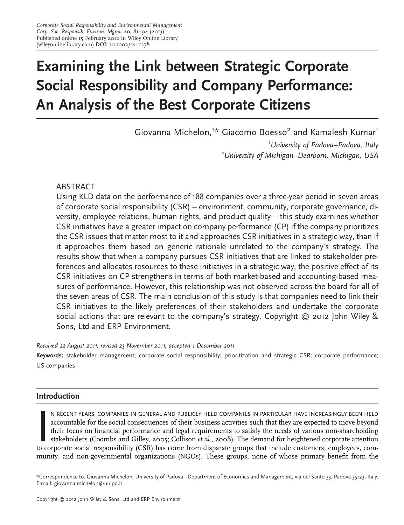# Examining the Link between Strategic Corporate Social Responsibility and Company Performance: An Analysis of the Best Corporate Citizens

Giovanna Michelon, $1\star$  Giacomo Boesso<sup>2</sup> and Kamalesh Kumar<sup>1</sup> 1 University of Padova–Padova, Italy <sup>2</sup>University of Michigan–Dearborn, Michigan, USA

# ABSTRACT

Using KLD data on the performance of 188 companies over a three-year period in seven areas of corporate social responsibility (CSR) – environment, community, corporate governance, diversity, employee relations, human rights, and product quality – this study examines whether CSR initiatives have a greater impact on company performance (CP) if the company prioritizes the CSR issues that matter most to it and approaches CSR initiatives in a strategic way, than if it approaches them based on generic rationale unrelated to the company's strategy. The results show that when a company pursues CSR initiatives that are linked to stakeholder preferences and allocates resources to these initiatives in a strategic way, the positive effect of its CSR initiatives on CP strengthens in terms of both market-based and accounting-based measures of performance. However, this relationship was not observed across the board for all of the seven areas of CSR. The main conclusion of this study is that companies need to link their CSR initiatives to the likely preferences of their stakeholders and undertake the corporate social actions that are relevant to the company's strategy. Copyright © 2012 John Wiley & Sons, Ltd and ERP Environment.

Received 22 August 2011; revised 23 November 2011; accepted 1 December 2011

Keywords: stakeholder management; corporate social responsibility; prioritization and strategic CSR; corporate performance; US companies

# **Introduction**

N RECENT YEARS, COMPANIES IN GENERAL AND PUBLICLY HELD COMPANIES IN PARTICULAR HAVE INCREASINGLY BEEN HELD accountable for the social consequences of their business activities such that they are expected to move beyond the N RECENT YEARS, COMPANIES IN GENERAL AND PUBLICLY HELD COMPANIES IN PARTICULAR HAVE INCREASINGLY BEEN HELD accountable for the social consequences of their business activities such that they are expected to move beyond their focus on financial performance and legal requirements to satisfy the needs of various non-shareholding stakeholders (Coombs and Gilley, 2005; Collison et al., 2008). The demand for heightened corporate attention munity, and non-governmental organizations (NGOs). These groups, none of whose primary benefit from the

\*Correspondence to: Giovanna Michelon, University of Padova - Department of Economics and Management, via del Santo 33, Padova 35123, Italy. E-mail: giovanna.michelon@unipd.it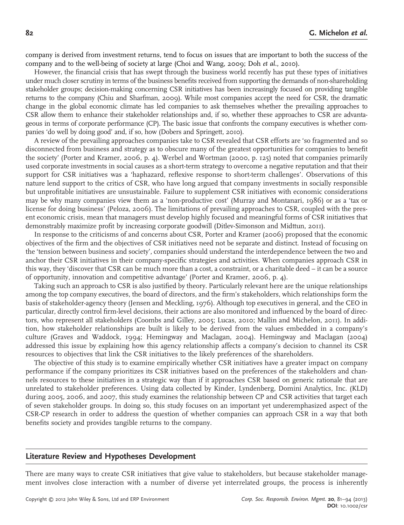company is derived from investment returns, tend to focus on issues that are important to both the success of the company and to the well-being of society at large (Choi and Wang, 2009; Doh et al., 2010).

However, the financial crisis that has swept through the business world recently has put these types of initiatives under much closer scrutiny in terms of the business benefits received from supporting the demands of non-shareholding stakeholder groups; decision-making concerning CSR initiatives has been increasingly focused on providing tangible returns to the company (Chiu and Sharfman, 2009). While most companies accept the need for CSR, the dramatic change in the global economic climate has led companies to ask themselves whether the prevailing approaches to CSR allow them to enhance their stakeholder relationships and, if so, whether these approaches to CSR are advantageous in terms of corporate performance (CP). The basic issue that confronts the company executives is whether companies 'do well by doing good' and, if so, how (Dobers and Springett, 2010).

A review of the prevailing approaches companies take to CSR revealed that CSR efforts are 'so fragmented and so disconnected from business and strategy as to obscure many of the greatest opportunities for companies to benefit the society' (Porter and Kramer, 2006, p. 4). Werbel and Wortman (2000, p. 125) noted that companies primarily used corporate investments in social causes as a short-term strategy to overcome a negative reputation and that their support for CSR initiatives was a 'haphazard, reflexive response to short-term challenges'. Observations of this nature lend support to the critics of CSR, who have long argued that company investments in socially responsible but unprofitable initiatives are unsustainable. Failure to supplement CSR initiatives with economic considerations may be why many companies view them as a 'non-productive cost' (Murray and Montanari, 1986) or as a 'tax or license for doing business' (Peloza, 2006). The limitations of prevailing approaches to CSR, coupled with the present economic crisis, mean that managers must develop highly focused and meaningful forms of CSR initiatives that demonstrably maximize profit by increasing corporate goodwill (Ditlev-Simonson and Midttun, 2011).

In response to the criticisms of and concerns about CSR, Porter and Kramer (2006) proposed that the economic objectives of the firm and the objectives of CSR initiatives need not be separate and distinct. Instead of focusing on the 'tension between business and society', companies should understand the interdependence between the two and anchor their CSR initiatives in their company-specific strategies and activities. When companies approach CSR in this way, they 'discover that CSR can be much more than a cost, a constraint, or a charitable deed – it can be a source of opportunity, innovation and competitive advantage' (Porter and Kramer, 2006, p. 4).

Taking such an approach to CSR is also justified by theory. Particularly relevant here are the unique relationships among the top company executives, the board of directors, and the firm's stakeholders, which relationships form the basis of stakeholder-agency theory (Jensen and Meckling, 1976). Although top executives in general, and the CEO in particular, directly control firm-level decisions, their actions are also monitored and influenced by the board of directors, who represent all stakeholders (Coombs and Gilley, 2005; Lucas, 2010; Mallin and Michelon, 2011). In addition, how stakeholder relationships are built is likely to be derived from the values embedded in a company's culture (Graves and Waddock, 1994; Hemingway and Maclagan, 2004). Hemingway and Maclagan (2004) addressed this issue by explaining how this agency relationship affects a company's decision to channel its CSR resources to objectives that link the CSR initiatives to the likely preferences of the shareholders.

The objective of this study is to examine empirically whether CSR initiatives have a greater impact on company performance if the company prioritizes its CSR initiatives based on the preferences of the stakeholders and channels resources to these initiatives in a strategic way than if it approaches CSR based on generic rationale that are unrelated to stakeholder preferences. Using data collected by Kinder, Lyndenberg, Domini Analytics, Inc. (KLD) during 2005, 2006, and 2007, this study examines the relationship between CP and CSR activities that target each of seven stakeholder groups. In doing so, this study focuses on an important yet underemphasized aspect of the CSR-CP research in order to address the question of whether companies can approach CSR in a way that both benefits society and provides tangible returns to the company.

#### Literature Review and Hypotheses Development

There are many ways to create CSR initiatives that give value to stakeholders, but because stakeholder management involves close interaction with a number of diverse yet interrelated groups, the process is inherently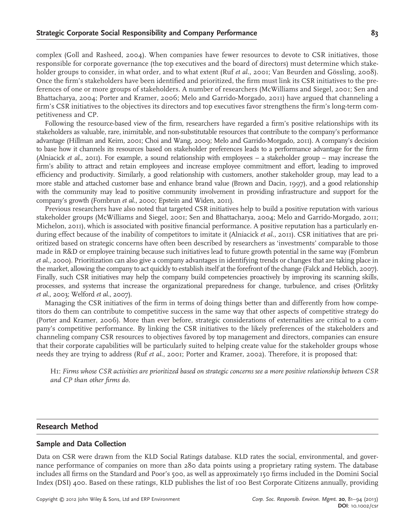complex (Goll and Rasheed, 2004). When companies have fewer resources to devote to CSR initiatives, those responsible for corporate governance (the top executives and the board of directors) must determine which stakeholder groups to consider, in what order, and to what extent (Ruf et al., 2001; Van Beurden and Gössling, 2008). Once the firm's stakeholders have been identified and prioritized, the firm must link its CSR initiatives to the preferences of one or more groups of stakeholders. A number of researchers (McWilliams and Siegel, 2001; Sen and Bhattacharya, 2004; Porter and Kramer, 2006; Melo and Garrido-Morgado, 2011) have argued that channeling a firm's CSR initiatives to the objectives its directors and top executives favor strengthens the firm's long-term competitiveness and CP.

Following the resource-based view of the firm, researchers have regarded a firm's positive relationships with its stakeholders as valuable, rare, inimitable, and non-substitutable resources that contribute to the company's performance advantage (Hillman and Keim, 2001; Choi and Wang, 2009; Melo and Garrido-Morgado, 2011). A company's decision to base how it channels its resources based on stakeholder preferences leads to a performance advantage for the firm (Alniacick et al., 2011). For example, a sound relationship with employees – a stakeholder group – may increase the firm's ability to attract and retain employees and increase employee commitment and effort, leading to improved efficiency and productivity. Similarly, a good relationship with customers, another stakeholder group, may lead to a more stable and attached customer base and enhance brand value (Brown and Dacin, 1997), and a good relationship with the community may lead to positive community involvement in providing infrastructure and support for the company's growth (Fombrun et al., 2000; Epstein and Widen, 2011).

Previous researchers have also noted that targeted CSR initiatives help to build a positive reputation with various stakeholder groups (McWilliams and Siegel, 2001; Sen and Bhattacharya, 2004; Melo and Garrido-Morgado, 2011; Michelon, 2011), which is associated with positive financial performance. A positive reputation has a particularly enduring effect because of the inability of competitors to imitate it (Alniacick et al., 2011). CSR initiatives that are prioritized based on strategic concerns have often been described by researchers as 'investments' comparable to those made in R&D or employee training because such initiatives lead to future growth potential in the same way (Fombrun et al., 2000). Prioritization can also give a company advantages in identifying trends or changes that are taking place in the market, allowing the company to act quickly to establish itself at the forefront of the change (Falck and Heblich, 2007). Finally, such CSR initiatives may help the company build competencies proactively by improving its scanning skills, processes, and systems that increase the organizational preparedness for change, turbulence, and crises (Orlitzky et al., 2003; Welford et al., 2007).

Managing the CSR initiatives of the firm in terms of doing things better than and differently from how competitors do them can contribute to competitive success in the same way that other aspects of competitive strategy do (Porter and Kramer, 2006). More than ever before, strategic considerations of externalities are critical to a company's competitive performance. By linking the CSR initiatives to the likely preferences of the stakeholders and channeling company CSR resources to objectives favored by top management and directors, companies can ensure that their corporate capabilities will be particularly suited to helping create value for the stakeholder groups whose needs they are trying to address (Ruf et al., 2001; Porter and Kramer, 2002). Therefore, it is proposed that:

H1: Firms whose CSR activities are prioritized based on strategic concerns see a more positive relationship between CSR and CP than other firms do.

## Research Method

#### Sample and Data Collection

Data on CSR were drawn from the KLD Social Ratings database. KLD rates the social, environmental, and governance performance of companies on more than 280 data points using a proprietary rating system. The database includes all firms on the Standard and Poor's 500, as well as approximately 150 firms included in the Domini Social Index (DSI) 400. Based on these ratings, KLD publishes the list of 100 Best Corporate Citizens annually, providing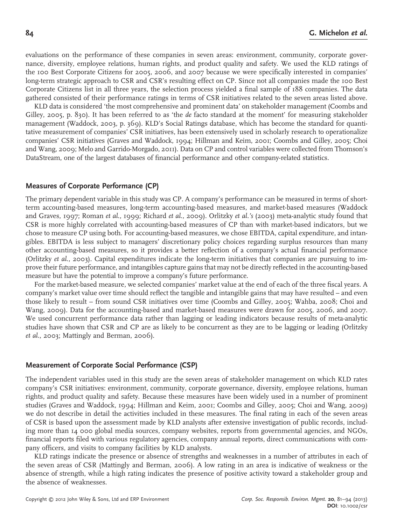evaluations on the performance of these companies in seven areas: environment, community, corporate governance, diversity, employee relations, human rights, and product quality and safety. We used the KLD ratings of the 100 Best Corporate Citizens for 2005, 2006, and 2007 because we were specifically interested in companies' long-term strategic approach to CSR and CSR's resulting effect on CP. Since not all companies made the 100 Best Corporate Citizens list in all three years, the selection process yielded a final sample of 188 companies. The data gathered consisted of their performance ratings in terms of CSR initiatives related to the seven areas listed above.

KLD data is considered 'the most comprehensive and prominent data' on stakeholder management (Coombs and Gilley, 2005, p. 830). It has been referred to as 'the de facto standard at the moment' for measuring stakeholder management (Waddock, 2003, p. 369). KLD's Social Ratings database, which has become the standard for quantitative measurement of companies' CSR initiatives, has been extensively used in scholarly research to operationalize companies' CSR initiatives (Graves and Waddock, 1994; Hillman and Keim, 2001; Coombs and Gilley, 2005; Choi and Wang, 2009; Melo and Garrido-Morgado, 2011). Data on CP and control variables were collected from Thomson's DataStream, one of the largest databases of financial performance and other company-related statistics.

## Measures of Corporate Performance (CP)

The primary dependent variable in this study was CP. A company's performance can be measured in terms of shortterm accounting-based measures, long-term accounting-based measures, and market-based measures (Waddock and Graves, 1997; Roman et al., 1999; Richard et al., 2009). Orlitzky et al.'s (2003) meta-analytic study found that CSR is more highly correlated with accounting-based measures of CP than with market-based indicators, but we chose to measure CP using both. For accounting-based measures, we chose EBITDA, capital expenditure, and intangibles. EBITDA is less subject to managers' discretionary policy choices regarding surplus resources than many other accounting-based measures, so it provides a better reflection of a company's actual financial performance (Orlitzky et al., 2003). Capital expenditures indicate the long-term initiatives that companies are pursuing to improve their future performance, and intangibles capture gains that may not be directly reflected in the accounting-based measure but have the potential to improve a company's future performance.

For the market-based measure, we selected companies' market value at the end of each of the three fiscal years. A company's market value over time should reflect the tangible and intangible gains that may have resulted – and even those likely to result – from sound CSR initiatives over time (Coombs and Gilley, 2005; Wahba, 2008; Choi and Wang, 2009). Data for the accounting-based and market-based measures were drawn for 2005, 2006, and 2007. We used concurrent performance data rather than lagging or leading indicators because results of meta-analytic studies have shown that CSR and CP are as likely to be concurrent as they are to be lagging or leading (Orlitzky et al., 2003; Mattingly and Berman, 2006).

## Measurement of Corporate Social Performance (CSP)

The independent variables used in this study are the seven areas of stakeholder management on which KLD rates company's CSR initiatives: environment, community, corporate governance, diversity, employee relations, human rights, and product quality and safety. Because these measures have been widely used in a number of prominent studies (Graves and Waddock, 1994; Hillman and Keim, 2001; Coombs and Gilley, 2005; Choi and Wang, 2009) we do not describe in detail the activities included in these measures. The final rating in each of the seven areas of CSR is based upon the assessment made by KLD analysts after extensive investigation of public records, including more than 14 000 global media sources, company websites, reports from governmental agencies, and NGOs, financial reports filed with various regulatory agencies, company annual reports, direct communications with company officers, and visits to company facilities by KLD analysts.

KLD ratings indicate the presence or absence of strengths and weaknesses in a number of attributes in each of the seven areas of CSR (Mattingly and Berman, 2006). A low rating in an area is indicative of weakness or the absence of strength, while a high rating indicates the presence of positive activity toward a stakeholder group and the absence of weaknesses.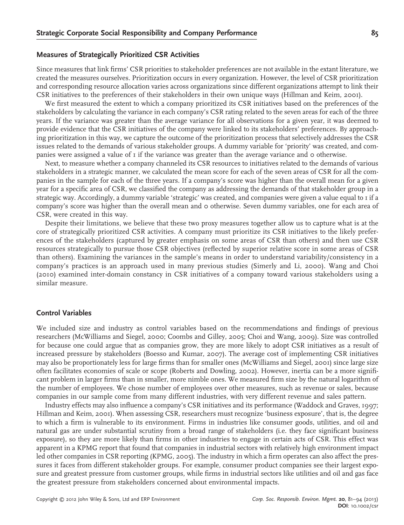#### Measures of Strategically Prioritized CSR Activities

Since measures that link firms' CSR priorities to stakeholder preferences are not available in the extant literature, we created the measures ourselves. Prioritization occurs in every organization. However, the level of CSR prioritization and corresponding resource allocation varies across organizations since different organizations attempt to link their CSR initiatives to the preferences of their stakeholders in their own unique ways (Hillman and Keim, 2001).

We first measured the extent to which a company prioritized its CSR initiatives based on the preferences of the stakeholders by calculating the variance in each company's CSR rating related to the seven areas for each of the three years. If the variance was greater than the average variance for all observations for a given year, it was deemed to provide evidence that the CSR initiatives of the company were linked to its stakeholders' preferences. By approaching prioritization in this way, we capture the outcome of the prioritization process that selectively addresses the CSR issues related to the demands of various stakeholder groups. A dummy variable for 'priority' was created, and companies were assigned a value of 1 if the variance was greater than the average variance and 0 otherwise.

Next, to measure whether a company channeled its CSR resources to initiatives related to the demands of various stakeholders in a strategic manner, we calculated the mean score for each of the seven areas of CSR for all the companies in the sample for each of the three years. If a company's score was higher than the overall mean for a given year for a specific area of CSR, we classified the company as addressing the demands of that stakeholder group in a strategic way. Accordingly, a dummy variable 'strategic' was created, and companies were given a value equal to 1 if a company's score was higher than the overall mean and 0 otherwise. Seven dummy variables, one for each area of CSR, were created in this way.

Despite their limitations, we believe that these two proxy measures together allow us to capture what is at the core of strategically prioritized CSR activities. A company must prioritize its CSR initiatives to the likely preferences of the stakeholders (captured by greater emphasis on some areas of CSR than others) and then use CSR resources strategically to pursue those CSR objectives (reflected by superior relative score in some areas of CSR than others). Examining the variances in the sample's means in order to understand variability/consistency in a company's practices is an approach used in many previous studies (Simerly and Li, 2000). Wang and Choi (2010) examined inter-domain constancy in CSR initiatives of a company toward various stakeholders using a similar measure.

## Control Variables

We included size and industry as control variables based on the recommendations and findings of previous researchers (McWilliams and Siegel, 2000; Coombs and Gilley, 2005; Choi and Wang, 2009). Size was controlled for because one could argue that as companies grow, they are more likely to adopt CSR initiatives as a result of increased pressure by stakeholders (Boesso and Kumar, 2007). The average cost of implementing CSR initiatives may also be proportionately less for large firms than for smaller ones (McWilliams and Siegel, 2001) since large size often facilitates economies of scale or scope (Roberts and Dowling, 2002). However, inertia can be a more significant problem in larger firms than in smaller, more nimble ones. We measured firm size by the natural logarithm of the number of employees. We chose number of employees over other measures, such as revenue or sales, because companies in our sample come from many different industries, with very different revenue and sales pattern.

Industry effects may also influence a company's CSR initiatives and its performance (Waddock and Graves, 1997; Hillman and Keim, 2001). When assessing CSR, researchers must recognize 'business exposure', that is, the degree to which a firm is vulnerable to its environment. Firms in industries like consumer goods, utilities, and oil and natural gas are under substantial scrutiny from a broad range of stakeholders (i.e. they face significant business exposure), so they are more likely than firms in other industries to engage in certain acts of CSR. This effect was apparent in a KPMG report that found that companies in industrial sectors with relatively high environment impact led other companies in CSR reporting (KPMG, 2005). The industry in which a firm operates can also affect the pressures it faces from different stakeholder groups. For example, consumer product companies see their largest exposure and greatest pressure from customer groups, while firms in industrial sectors like utilities and oil and gas face the greatest pressure from stakeholders concerned about environmental impacts.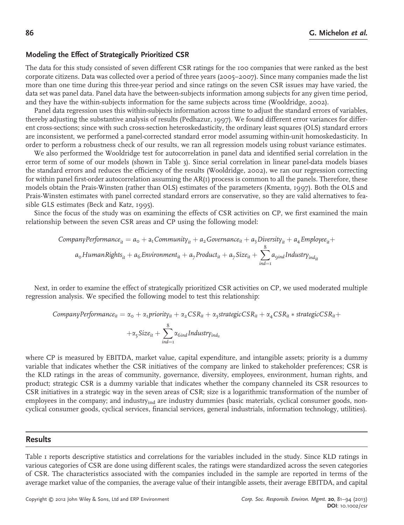## Modeling the Effect of Strategically Prioritized CSR

The data for this study consisted of seven different CSR ratings for the 100 companies that were ranked as the best corporate citizens. Data was collected over a period of three years (2005–2007). Since many companies made the list more than one time during this three-year period and since ratings on the seven CSR issues may have varied, the data set was panel data. Panel data have the between-subjects information among subjects for any given time period, and they have the within-subjects information for the same subjects across time (Wooldridge, 2002).

Panel data regression uses this within-subjects information across time to adjust the standard errors of variables, thereby adjusting the substantive analysis of results (Pedhazur, 1997). We found different error variances for different cross-sections; since with such cross-section heteroskedasticity, the ordinary least squares (OLS) standard errors are inconsistent, we performed a panel-corrected standard error model assuming within-unit homoskedasticity. In order to perform a robustness check of our results, we ran all regression models using robust variance estimates.

We also performed the Wooldridge test for autocorrelation in panel data and identified serial correlation in the error term of some of our models (shown in Table 3). Since serial correlation in linear panel-data models biases the standard errors and reduces the efficiency of the results (Wooldridge, 2002), we ran our regression correcting for within panel first-order autocorrelation assuming the AR(1) process is common to all the panels. Therefore, these models obtain the Prais-Winsten (rather than OLS) estimates of the parameters (Kmenta, 1997). Both the OLS and Prais-Winsten estimates with panel corrected standard errors are conservative, so they are valid alternatives to feasible GLS estimates (Beck and Katz, 1995).

Since the focus of the study was on examining the effects of CSR activities on CP, we first examined the main relationship between the seven CSR areas and CP using the following model:

\n
$$
\text{Comparive} \, \text{Company} \, \text{Performance}_{it} = a_{\text{o}} + a_{\text{r}} \, \text{Community}_{it} + a_{\text{r}} \, \text{Governance}_{it} + a_{\text{r}} \, \text{Diversity}_{it} + a_{\text{r}} \, \text{Employee}_{it} + a_{\text{r}} \, \text{Somployee}_{it} + a_{\text{r}} \, \text{Somployee}_{it} + a_{\text{r}} \, \text{Simployee}_{it} + a_{\text{r}} \, \text{Simployee}_{it} + a_{\text{r}} \, \text{Simployee}_{it} + a_{\text{r}} \, \text{Simployee}_{it} + a_{\text{r}} \, \text{Simployee}_{it} + a_{\text{r}} \, \text{Simployee}_{it} + a_{\text{r}} \, \text{Simployee}_{it} + a_{\text{r}} \, \text{Simployee}_{it} + a_{\text{r}} \, \text{Simployee}_{it} + a_{\text{r}} \, \text{Simployee}_{it} + a_{\text{r}} \, \text{Simployee}_{it} + a_{\text{r}} \, \text{Simployee}_{it} + a_{\text{r}} \, \text{Simployee}_{it} + a_{\text{r}} \, \text{Simployee}_{it} + a_{\text{r}} \, \text{Simployee}_{it} + a_{\text{r}} \, \text{Simployee}_{it} + a_{\text{r}} \, \text{Simployee}_{it} + a_{\text{r}} \, \text{Simployee}_{it} + a_{\text{r}} \, \text{Simployee}_{it} + a_{\text{r}} \, \text{Simployee}_{it} + a_{\text{r}} \, \text{Simployee}_{it} + a_{\text{r}} \, \text{Simployee}_{it} + a_{\text{r}} \, \text{Simployee}_{it} + a_{\text{r}} \, \text{Simployee}_{it} + a_{\text{r}} \, \text{Simployee}_{it} + a_{\text{r}} \, \text{Simployee}_{it} + a_{\text{r}} \, \text{Simployee}_{it} + a_{\text{r}} \, \text{Simployee}_{it} + a_{\text{r}} \, \text{Simployee}_{it} +
$$

Next, in order to examine the effect of strategically prioritized CSR activities on CP, we used moderated multiple regression analysis. We specified the following model to test this relationship:

\n
$$
\text{CompanyPerformance}_{it} = \alpha_{\text{o}} + \alpha_{\text{1}} \text{priority}_{it} + \alpha_{\text{2}} \text{CSR}_{it} + \alpha_{\text{3}} \text{strategy} \text{CSR}_{it} + \alpha_{\text{4}} \text{CSR}_{it} \cdot \text{strategies} \text{CSR}_{it} + \alpha_{\text{5}} \text{Size}_{it} + \sum_{ind=1}^{8} \alpha_{\text{Gind}} \text{Industry}_{ind_{it}}
$$
\n

where CP is measured by EBITDA, market value, capital expenditure, and intangible assets; priority is a dummy variable that indicates whether the CSR initiatives of the company are linked to stakeholder preferences; CSR is the KLD ratings in the areas of community, governance, diversity, employees, environment, human rights, and product; strategic CSR is a dummy variable that indicates whether the company channeled its CSR resources to CSR initiatives in a strategic way in the seven areas of CSR; size is a logarithmic transformation of the number of employees in the company; and industry<sub>ind</sub> are industry dummies (basic materials, cyclical consumer goods, noncyclical consumer goods, cyclical services, financial services, general industrials, information technology, utilities).

#### Results

Table 1 reports descriptive statistics and correlations for the variables included in the study. Since KLD ratings in various categories of CSR are done using different scales, the ratings were standardized across the seven categories of CSR. The characteristics associated with the companies included in the sample are reported in terms of the average market value of the companies, the average value of their intangible assets, their average EBITDA, and capital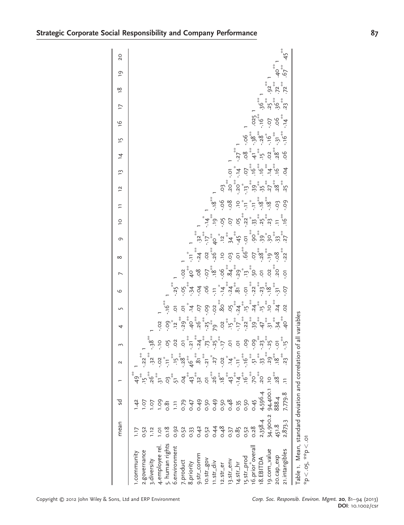|                                                                                                                                                                                                                                                                                                                              | mean                                                                                              | ΡS                                                                                     |                                                                 |                                                                             |                       | 4                                                                                                        |                                                           | 9                                                      | $\overline{a}$          | $\infty$                                  | Ō                        | $\overline{0}$ | $=$                                                                                                            | $\overline{a}$                                                        | $\tilde{5}$                        | $\frac{15}{2}$<br>$\frac{1}{4}$                                                                                                                                                                                                                                                                                                                                                                                                | ٩               | $\overline{V}$                                                                                                                                                                                                                                                                                        | ă                       | <u>പ്</u> | $\frac{0}{2}$ |
|------------------------------------------------------------------------------------------------------------------------------------------------------------------------------------------------------------------------------------------------------------------------------------------------------------------------------|---------------------------------------------------------------------------------------------------|----------------------------------------------------------------------------------------|-----------------------------------------------------------------|-----------------------------------------------------------------------------|-----------------------|----------------------------------------------------------------------------------------------------------|-----------------------------------------------------------|--------------------------------------------------------|-------------------------|-------------------------------------------|--------------------------|----------------|----------------------------------------------------------------------------------------------------------------|-----------------------------------------------------------------------|------------------------------------|--------------------------------------------------------------------------------------------------------------------------------------------------------------------------------------------------------------------------------------------------------------------------------------------------------------------------------------------------------------------------------------------------------------------------------|-----------------|-------------------------------------------------------------------------------------------------------------------------------------------------------------------------------------------------------------------------------------------------------------------------------------------------------|-------------------------|-----------|---------------|
| 2.governance<br>3.diversity<br>4.employee rel.<br>5. human rights<br>15.str_prod<br>16.prior*overall<br>18.EBITDA<br>6.environment<br>19.com_value<br>21.intangibles<br>.community<br>9.str_comm<br>20.cap_exp<br>io.str_gov<br>$13.str\_env$<br>14.str $_l$ hr<br>7.product<br>$11.str\_div$<br>8. priority<br>$12.str\_er$ | 2,358.4<br>34,900.2<br>451.8<br>2,873.3<br>0.92<br>0.52<br>0.18<br>0.52<br>1.12<br>$\overline{0}$ | 4,596.4<br>94,400.1<br>888.4<br>7,779.8<br>$1.07$<br>$1.09$<br>$0.81$<br>1.42<br>$\Xi$ | ۣۣۿۦ۪ؾ۬؞ۭۣ۬ۿٵۻڰۄڮۊػۄڟۣؠڟۑڟٷڮۄٚ<br>ؠڡٛ <sub>ؾ</sub> ٞڂؠۊٵڿۿؠڟۑڡٚ | ڣ<br>؞۬ٚ؇۪ۼ؞ڂۦؠۣۜڂؠۣڡٚ؋ۣڞ <sub>ۑ</sub> ڂۦ۪ڂۦۭڂۦڿڷڂؠۣڂؠۣڡ <sub>ۼ</sub> ۣڞۼ؞ٚ | ڟؗ؞ۣڣ؋ؽ؋ۿ؋ۑ؋ڷؠ؋ۄٚؠ؋ۄٚ | ۑٛۘڹ؋ٙٙٙڮ؈ٚۑڷ؋ۣۑ؆ۑۄٚؠۻۣٚڂ؞ۑۣڂ<br>ۉۦ۪ؾؠٷ <sub>ؠ</sub> ۣٷ <sub>ؠۣ</sub> ۣٷؠۣٷۄٵڿۄٚؠۿۄڶۄؠ<br>$\overline{c}$ | ۣ<br>؞ۣۏٷۦٟ <i>ڋ</i> ۏۿ؋ۄٚٷۑٟٚ <sup>ٳ</sup> ۭؾؠۣٚڡٚؠٟۣۊ؋ٷ | ڣۣ <sup>ڹ</sup> ؞ۼ؞ۼۄػۄڂؠۼؠۣ <sup>ڹ</sup> ۼۊٷۣ؇ؠۣ۠ۼۑۊٷ | ۼ<br>؋ۄٚٷ؋ٞؠۊ؇ۊ۫ؠۄ؞ٙ۠؋ڔ | ۣ<br>؞ٟڐ <sub>ؠ</sub> ٟٚؠٚۏڿٚۄۏڡٚۄ؋ۄٚ؇؞ۣۊ | ؚۣ<br>؞؇ؾؙ؞ۑڐؠ؋؞؆؞؇؞؞ٞؠٵ |                | <sub>م</sub> َّةٍ فَيْ أَسْتَغَيْرَ فَيْ مَنْ يَجْمَعُونَ فَيْ مَنْ يَجْمَعُونَ فَيْ يَجْمَعُونَ فَيْ يَجْمِعُ | ؽ؋؞؇ۑۊ<br>ۿؠۣڡ <sub>ؠ</sub> ۣڡ <sub>ؿ</sub> ۣڡٚؠۣڡ <sub>ؠ</sub> ۣڡؠۣڡ | ة يَدِيَّةٍ قَرِينٍّةٍ فَيَدِيَّةٍ | $\begin{array}{c} \dot{Q}_1 \\ \dot{Q}_2 \\ \dot{Q}_3 \\ \dot{Q}_4 \\ \dot{Q}_5 \\ \dot{Q}_6 \\ \dot{Q}_7 \\ \dot{Q}_8 \\ \dot{Q}_9 \\ \dot{Q}_8 \\ \dot{Q}_9 \\ \dot{Q}_9 \\ \dot{Q}_9 \\ \dot{Q}_9 \\ \dot{Q}_9 \\ \dot{Q}_9 \\ \dot{Q}_9 \\ \dot{Q}_9 \\ \dot{Q}_9 \\ \dot{Q}_9 \\ \dot{Q}_9 \\ \dot{Q}_9 \\ \dot{Q}_9 \\ \dot{Q}_9 \\ \dot{Q}_9 \\ \dot{Q}_9 \\ \dot{Q}_9 \\ \dot{Q}_9 \\ \dot{Q}_9 \\ \dot{Q}_9 \\ \dot{$ | ۑ<br>ۿڐۄڋ؞ۼ؞ۄٚۺ | $\frac{5}{2}$<br>$\frac{2}{3}$<br>$\frac{1}{3}$<br>$\frac{1}{3}$<br>$\frac{1}{3}$<br>$\frac{1}{3}$<br>$\frac{1}{3}$<br>$\frac{1}{3}$<br><br>$\frac{1}{3}$<br><br><br><br><br><br><br><br><br><br><br><br><br><br><br><br><br><br><br><br><br><br><br><br><br><br><br><br><br><br><br><br><br><br><br> | <b>1923</b><br>9. R. R. | .67       | 45            |
| Table 1. Mean, standard deviation and correlation of all variables                                                                                                                                                                                                                                                           |                                                                                                   |                                                                                        |                                                                 |                                                                             |                       |                                                                                                          |                                                           |                                                        |                         |                                           |                          |                |                                                                                                                |                                                                       |                                    |                                                                                                                                                                                                                                                                                                                                                                                                                                |                 |                                                                                                                                                                                                                                                                                                       |                         |           |               |

\*p

 $<$  .05,  $*$ p

to.<br>V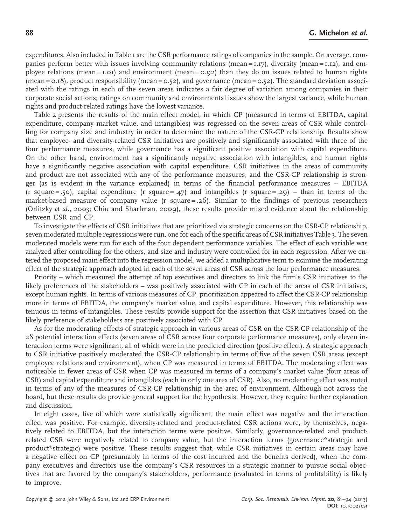expenditures. Also included in Table 1 are the CSR performance ratings of companies in the sample. On average, companies perform better with issues involving community relations (mean =  $1.17$ ), diversity (mean =  $1.12$ ), and employee relations (mean =  $I.01$ ) and environment (mean =  $0.92$ ) than they do on issues related to human rights  $(mean = 0.18)$ , product responsibility (mean = 0.52), and governance (mean = 0.52). The standard deviation associated with the ratings in each of the seven areas indicates a fair degree of variation among companies in their corporate social actions; ratings on community and environmental issues show the largest variance, while human rights and product-related ratings have the lowest variance.

Table 2 presents the results of the main effect model, in which CP (measured in terms of EBITDA, capital expenditure, company market value, and intangibles) was regressed on the seven areas of CSR while controlling for company size and industry in order to determine the nature of the CSR-CP relationship. Results show that employee- and diversity-related CSR initiatives are positively and significantly associated with three of the four performance measures, while governance has a significant positive association with capital expenditure. On the other hand, environment has a significantly negative association with intangibles, and human rights have a significantly negative association with capital expenditure. CSR initiatives in the areas of community and product are not associated with any of the performance measures, and the CSR-CP relationship is stronger (as is evident in the variance explained) in terms of the financial performance measures – EBITDA (r square = .50), capital expenditure (r square = .47) and intangibles (r square = .29) – than in terms of the market-based measure of company value ( $r$  square $= .26$ ). Similar to the findings of previous researchers (Orlitzky et al., 2003; Chiu and Sharfman, 2009), these results provide mixed evidence about the relationship between CSR and CP.

To investigate the effects of CSR initiatives that are prioritized via strategic concerns on the CSR-CP relationship, seven moderated multiple regressions were run, one for each of the specific areas of CSR initiatives Table 3. The seven moderated models were run for each of the four dependent performance variables. The effect of each variable was analyzed after controlling for the others, and size and industry were controlled for in each regression. After we entered the proposed main effect into the regression model, we added a multiplicative term to examine the moderating effect of the strategic approach adopted in each of the seven areas of CSR across the four performance measures.

Priority – which measured the attempt of top executives and directors to link the firm's CSR initiatives to the likely preferences of the stakeholders – was positively associated with CP in each of the areas of CSR initiatives, except human rights. In terms of various measures of CP, prioritization appeared to affect the CSR-CP relationship more in terms of EBITDA, the company's market value, and capital expenditure. However, this relationship was tenuous in terms of intangibles. These results provide support for the assertion that CSR initiatives based on the likely preference of stakeholders are positively associated with CP.

As for the moderating effects of strategic approach in various areas of CSR on the CSR-CP relationship of the 28 potential interaction effects (seven areas of CSR across four corporate performance measures), only eleven interaction terms were significant, all of which were in the predicted direction (positive effect). A strategic approach to CSR initiative positively moderated the CSR-CP relationship in terms of five of the seven CSR areas (except employee relations and environment), when CP was measured in terms of EBITDA. The moderating effect was noticeable in fewer areas of CSR when CP was measured in terms of a company's market value (four areas of CSR) and capital expenditure and intangibles (each in only one area of CSR). Also, no moderating effect was noted in terms of any of the measures of CSR-CP relationship in the area of environment. Although not across the board, but these results do provide general support for the hypothesis. However, they require further explanation and discussion.

In eight cases, five of which were statistically significant, the main effect was negative and the interaction effect was positive. For example, diversity-related and product-related CSR actions were, by themselves, negatively related to EBITDA, but the interaction terms were positive. Similarly, governance-related and productrelated CSR were negatively related to company value, but the interaction terms (governance\*strategic and product\*strategic) were positive. These results suggest that, while CSR initiatives in certain areas may have a negative effect on CP (presumably in terms of the cost incurred and the benefits derived), when the company executives and directors use the company's CSR resources in a strategic manner to pursue social objectives that are favored by the company's stakeholders, performance (evaluated in terms of profitability) is likely to improve.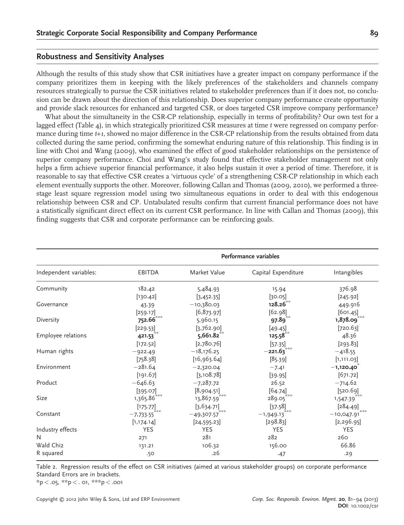#### Robustness and Sensitivity Analyses

Although the results of this study show that CSR initiatives have a greater impact on company performance if the company prioritizes them in keeping with the likely preferences of the stakeholders and channels company resources strategically to pursue the CSR initiatives related to stakeholder preferences than if it does not, no conclusion can be drawn about the direction of this relationship. Does superior company performance create opportunity and provide slack resources for enhanced and targeted CSR, or does targeted CSR improve company performance?

What about the simultaneity in the CSR-CP relationship, especially in terms of profitability? Our own test for a lagged effect (Table 4), in which strategically prioritized CSR measures at time  $t$  were regressed on company performance during time t+1, showed no major difference in the CSR-CP relationship from the results obtained from data collected during the same period, confirming the somewhat enduring nature of this relationship. This finding is in line with Choi and Wang (2009), who examined the effect of good stakeholder relationships on the persistence of superior company performance. Choi and Wang's study found that effective stakeholder management not only helps a firm achieve superior financial performance, it also helps sustain it over a period of time. Therefore, it is reasonable to say that effective CSR creates a 'virtuous cycle' of a strengthening CSR-CP relationship in which each element eventually supports the other. Moreover, following Callan and Thomas (2009, 2010), we performed a threestage least square regression model using two simultaneous equations in order to deal with this endogenous relationship between CSR and CP. Untabulated results confirm that current financial performance does not have a statistically significant direct effect on its current CSR performance. In line with Callan and Thomas (2009), this finding suggests that CSR and corporate performance can be reinforcing goals.

|                        |                    |              | Performance variables |              |
|------------------------|--------------------|--------------|-----------------------|--------------|
| Independent variables: | <b>EBITDA</b>      | Market Value | Capital Expenditure   | Intangibles  |
| Community              | 182.42             | 5,484.93     | 15.94                 | 376.98       |
|                        | [130.42]           | [3,452.35]   | [30.05]               | [245.92]     |
| Governance             | 43.39              | $-10,380.03$ | $128.26***$           | 449.916      |
|                        | [259.17]           | [6, 873.97]  | [62.98]               | [601.45]     |
| Diversity              | 752.66***          | 5,960.15     | 97.89                 | 1,878.09     |
|                        | [229.53]           | [3,762.90]   | [49.45]               | [720.63]     |
| Employee relations     | 421.53             | 5,661.82     | 125.58**              | 48.36        |
|                        | [172.52]           | [2,780.76]   | [57.35]               | [293.83]     |
| Human rights           | $-922.49$          | $-18,176.25$ | $-221.63$ ***         | $-418.55$    |
|                        | [758.38]           | [16,963.64]  | [85.39]               | [1, 111.03]  |
| Environment            | $-281.64$          | $-2,320.04$  | $-7.41$               | $-1,120.40$  |
|                        | [191.67]           | [3,108.78]   | [39.95]               | [671.72]     |
| Product                | $-646.63$          | $-7,287.72$  | 26.52                 | $-714.62$    |
|                        | [395.07]           | [8,904.51]   | [64.74]               | [520.69]     |
| <b>Size</b>            | $1,365.86***$      | 13,867.59    | 289.05                | 1,547.39     |
|                        | [175.77]           | [3, 634.71]  | [37.58]               | [284.49]     |
| Constant               | ***<br>$-7,733.55$ | $-49,307.57$ | ***<br>$-1,949.13$    | $-10,047.91$ |
|                        | [1, 174.14]        | [24, 595.23] | [298.83]              | [2, 296.95]  |
| Industry effects       | <b>YES</b>         | <b>YES</b>   | <b>YES</b>            | <b>YES</b>   |
| N                      | 271                | 281          | 282                   | 260          |
| Wald Chi2              | 131.21             | 106.32       | 156.00                | 66.86        |
| R squared              | .50                | .26          | .47                   | .29          |

Table 2. Regression results of the effect on CSR initiatives (aimed at various stakeholder groups) on corporate performance Standard Errors are in brackets.

 $*p < .05, **p < .01, **p < .001$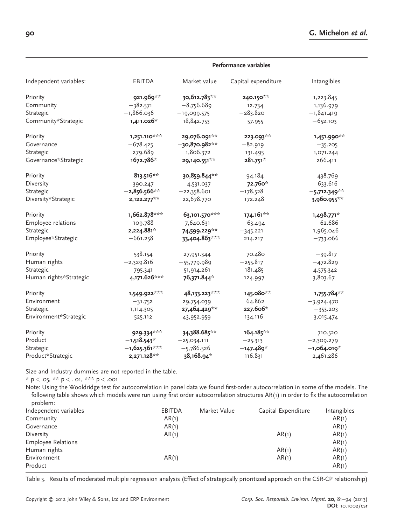|                        |                 |                 | Performance variables |                               |
|------------------------|-----------------|-----------------|-----------------------|-------------------------------|
| Independent variables: | <b>EBITDA</b>   | Market value    | Capital expenditure   | Intangibles                   |
| Priority               | 921.969**       | 30,612.783**    | 240.150**             | 1,223.845                     |
| Community              | $-382.571$      | $-8,756.689$    | 12.734                | 1,136.979                     |
| Strategic              | $-1,866.036$    | $-19,099.575$   | $-283.820$            | $-1,841.419$                  |
| Community*Strategic    | $1,411.026*$    | 18,842.753      | 57.955                | $-652.103$                    |
| Priority               | 1,251.110***    | 29,076.091**    | 223.093**             | 1,451.990**                   |
| Governance             | $-678.425$      | $-30,870.982**$ | $-82.919$             | $-35.205$                     |
| Strategic              | 279.689         | 1,806.372       | 131.495               | 1,071.244                     |
| Governance*Strategic   | 1672.786*       | 29,140.551**    | $281.751*$            | 266.411                       |
| Priority               | 813.516**       | 30,859.844**    | 94.184                | 438.769                       |
| Diversity              | $-390.247$      | $-4,531.037$    | $-72.760*$            | $-633.616$                    |
| Strategic              | $-2,856.566**$  | $-22,358.601$   | $-178.528$            | $-5,7$ 12.349 $^{\star\star}$ |
| Diversity*Strategic    | $2,122.277***$  | 22,678.770      | 172.248               | 3,960.955**                   |
| Priority               | 1,662.878***    | 63,101.570***   | $174.161***$          | 1,498.771*                    |
| Employee relations     | 109.788         | 7,640.631       | 63.494                | $-62.686$                     |
| Strategic              | 2,224.881*      | 74,599.229**    | $-345.221$            | 1,965.046                     |
| Employee*Strategic     | $-661.258$      | 33,404.863***   | 214.217               | $-733.066$                    |
| Priority               | 538.154         | 27,951.344      | 70.480                | $-39.817$                     |
| Human rights           | $-2,329.816$    | $-55,779.989$   | $-255.817$            | $-472.829$                    |
| Strategic              | 795.341         | 51,914.261      | 181.485               | $-4,575.342$                  |
| Human rights*Strategic | 4,171.626***    | 76,371.844*     | 124.997               | 3,803.67                      |
| Priority               | 1,549.922***    | 48,133.223***   | 145.080**             | 1,755.784**                   |
| Environment            | $-31.752$       | 29,754.039      | 64.862                | $-3,924.470$                  |
| Strategic              | 1,114.305       | 27,464.429**    | 227.606*              | $-353.203$                    |
| Environment*Strategic  | $-525.112$      | $-43,952.959$   | $-134.116$            | 3,015.474                     |
| Priority               | 929.334***      | 34,388.685**    | 164.185**             | 710.520                       |
| Product                | $-1,518.543*$   | $-25,034.111$   | $-25.313$             | $-2,309.279$                  |
| Strategic              | $-1,625.361***$ | $-5,786.526$    | $-147.489*$           | $-1,064.019*$                 |
| Product*Strategic      | 2,271.128**     | 38,168.94*      | 116.831               | 2,461.286                     |

Size and Industry dummies are not reported in the table.

\*  $p < .05$ , \*\*  $p < .01$ , \*\*\*  $p < .001$ 

Note: Using the Wooldridge test for autocorrelation in panel data we found first-order autocorrelation in some of the models. The following table shows which models were run using first order autocorrelation structures AR(1) in order to fix the autocorrelation problem:

| Independent variables     | <b>EBITDA</b> | Market Value | Capital Expenditure | Intangibles |
|---------------------------|---------------|--------------|---------------------|-------------|
| Community                 | AR(1)         |              |                     | AR(1)       |
| Governance                | AR(1)         |              |                     | AR(1)       |
| Diversity                 | AR(1)         |              | AR(1)               | AR(1)       |
| <b>Employee Relations</b> |               |              |                     | AR(1)       |
| Human rights              |               |              | AR(1)               | AR(1)       |
| Environment               | AR(1)         |              | AR(1)               | AR(1)       |
| Product                   |               |              |                     | AR(1)       |

Table 3. Results of moderated multiple regression analysis (Effect of strategically prioritized approach on the CSR-CP relationship)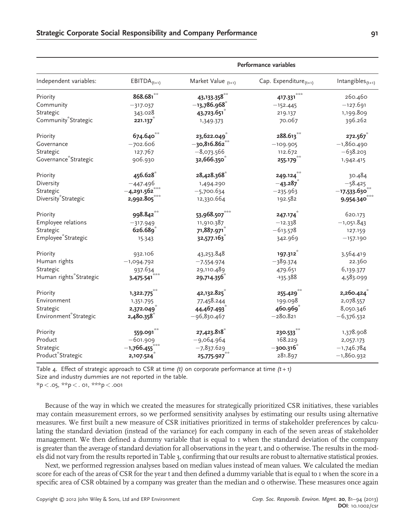|                                     |                           |                              | Performance variables        |                        |
|-------------------------------------|---------------------------|------------------------------|------------------------------|------------------------|
| Independent variables:              | $EBITDA$ <sub>(t+1)</sub> | Market Value $(t+1)$         | Cap. Expenditure $(t_{t+1})$ | Intangibles $_{(t+1)}$ |
| Priority                            | 868.681**                 | 43,133.358                   | 417.331                      | 260.460                |
| Community                           | $-317.037$                | $-13,786.968$                | $-152.445$                   | $-127.691$             |
| Strategic                           | 343.028                   | 43,723.651                   | 219.137                      | 1,199.809              |
| Community <sup>*</sup> Strategic    | 221.137                   | 1,349.373                    | 70.067                       | 396.262                |
| Priority                            | 674.640**                 | 23,622.049                   | 288.613                      | 272.567                |
| Governance                          | $-702.606$                | $-$ 30,816.862 $^{\ast\ast}$ | $-109.905$                   | $-1,860.490$           |
| Strategic                           | 127.767                   | $-8,073.566$                 | 112.672                      | $-638.203$             |
| Governance <sup>*</sup> Strategic   | 906.930                   | 32,666.350 <sup>*</sup>      | 255.179**                    | 1,942.415              |
| Priority                            | 456.628                   | 28,428.368                   | 249.124                      | 30.484                 |
| Diversity                           | $-447.496$                | 1,494.290                    | $-43.287$                    | $-58.425$              |
| Strategic                           | $-4,291.562$              | $-5,700.634$                 | $-235.963$                   | $-17,533.630$          |
| Diversity <sup>®</sup> Strategic    | 2,992.805***              | 12,330.664                   | 192.582                      | 9,954.340              |
| Priority                            | 998.842**                 | 53,968.507                   | 247.174                      | 620.173                |
| Employee relations                  | $-317.949$                | 11,910.387                   | $-12.338$                    | $-1,051.843$           |
| Strategic                           | 626.689                   | 71,887.971                   | $-613.578$                   | 127.159                |
| Employee <sup>*</sup> Strategic     | 15.343                    | 32,577.163                   | 342.969                      | $-157.190$             |
| Priority                            | 932.106                   | 43,253.848                   | 197.312                      | 3,564.419              |
| Human rights                        | $-1,094.792$              | $-7,554.974$                 | $-389.374$                   | 22.360                 |
| Strategic                           | 937.634                   | 29,110.489                   | 479.651                      | 6,139.377              |
| Human rights <sup>*</sup> Strategic | 3,475.541                 | 29,714.356                   | $+35.388$                    | 4,583.099              |
| Priority                            | 1,322.775                 | 42,132.825                   | 255.429                      | 2,260.424              |
| Environment                         | 1,351.795                 | 77,458.244                   | 199.098                      | 2,078.557              |
| Strategic                           | 2,372.049                 | 44,467.493                   | 460.969                      | 8,050.346              |
| Environment <sup>*</sup> Strategic  | 2,480.358                 | $-96,830.467$                | $-280.821$                   | $-6,376.532$           |
| Priority                            | 559.091                   | 27,423.818                   | 230.533                      | 1,378.908              |
| Product                             | –601.909                  | $-9,064.964$                 | 168.229                      | 2,057.173              |
| Strategic                           | $-1,766.455$              | $-7,837.629$                 | -300.316 ື                   | $-1,746.784$           |
| Product <sup>*</sup> Strategic      | 2,107.524                 | 25,775.927                   | 281.897                      | $-1,860.932$           |

Table 4. Effect of strategic approach to CSR at time  $(t)$  on corporate performance at time  $(t + \tau)$ 

Size and industry dummies are not reported in the table.

 $*p < .05, **p < .01, **p < .001$ 

Because of the way in which we created the measures for strategically prioritized CSR initiatives, these variables may contain measurement errors, so we performed sensitivity analyses by estimating our results using alternative measures. We first built a new measure of CSR initiatives prioritized in terms of stakeholder preferences by calculating the standard deviation (instead of the variance) for each company in each of the seven areas of stakeholder management. We then defined a dummy variable that is equal to 1 when the standard deviation of the company is greater than the average of standard deviation for all observations in the year t, and 0 otherwise. The results in the models did not vary from the results reported in Table 3, confirming that our results are robust to alternative statistical proxies.

Next, we performed regression analyses based on median values instead of mean values. We calculated the median score for each of the areas of CSR for the year t and then defined a dummy variable that is equal to 1 when the score in a specific area of CSR obtained by a company was greater than the median and 0 otherwise. These measures once again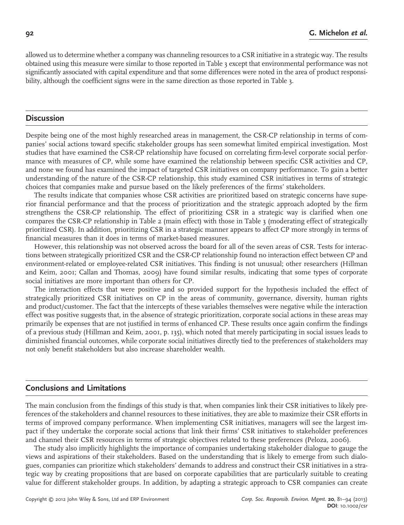allowed us to determine whether a company was channeling resources to a CSR initiative in a strategic way. The results obtained using this measure were similar to those reported in Table 3 except that environmental performance was not significantly associated with capital expenditure and that some differences were noted in the area of product responsibility, although the coefficient signs were in the same direction as those reported in Table 3.

## **Discussion**

Despite being one of the most highly researched areas in management, the CSR-CP relationship in terms of companies' social actions toward specific stakeholder groups has seen somewhat limited empirical investigation. Most studies that have examined the CSR-CP relationship have focused on correlating firm-level corporate social performance with measures of CP, while some have examined the relationship between specific CSR activities and CP, and none we found has examined the impact of targeted CSR initiatives on company performance. To gain a better understanding of the nature of the CSR-CP relationship, this study examined CSR initiatives in terms of strategic choices that companies make and pursue based on the likely preferences of the firms' stakeholders.

The results indicate that companies whose CSR activities are prioritized based on strategic concerns have superior financial performance and that the process of prioritization and the strategic approach adopted by the firm strengthens the CSR-CP relationship. The effect of prioritizing CSR in a strategic way is clarified when one compares the CSR-CP relationship in Table 2 (main effect) with those in Table 3 (moderating effect of strategically prioritized CSR). In addition, prioritizing CSR in a strategic manner appears to affect CP more strongly in terms of financial measures than it does in terms of market-based measures.

However, this relationship was not observed across the board for all of the seven areas of CSR. Tests for interactions between strategically prioritized CSR and the CSR-CP relationship found no interaction effect between CP and environment-related or employee-related CSR initiatives. This finding is not unusual; other researchers (Hillman and Keim, 2001; Callan and Thomas, 2009) have found similar results, indicating that some types of corporate social initiatives are more important than others for CP.

The interaction effects that were positive and so provided support for the hypothesis included the effect of strategically prioritized CSR initiatives on CP in the areas of community, governance, diversity, human rights and product/customer. The fact that the intercepts of these variables themselves were negative while the interaction effect was positive suggests that, in the absence of strategic prioritization, corporate social actions in these areas may primarily be expenses that are not justified in terms of enhanced CP. These results once again confirm the findings of a previous study (Hillman and Keim, 2001, p. 135), which noted that merely participating in social issues leads to diminished financial outcomes, while corporate social initiatives directly tied to the preferences of stakeholders may not only benefit stakeholders but also increase shareholder wealth.

# Conclusions and Limitations

The main conclusion from the findings of this study is that, when companies link their CSR initiatives to likely preferences of the stakeholders and channel resources to these initiatives, they are able to maximize their CSR efforts in terms of improved company performance. When implementing CSR initiatives, managers will see the largest impact if they undertake the corporate social actions that link their firms' CSR initiatives to stakeholder preferences and channel their CSR resources in terms of strategic objectives related to these preferences (Peloza, 2006).

The study also implicitly highlights the importance of companies undertaking stakeholder dialogue to gauge the views and aspirations of their stakeholders. Based on the understanding that is likely to emerge from such dialogues, companies can prioritize which stakeholders' demands to address and construct their CSR initiatives in a strategic way by creating propositions that are based on corporate capabilities that are particularly suitable to creating value for different stakeholder groups. In addition, by adapting a strategic approach to CSR companies can create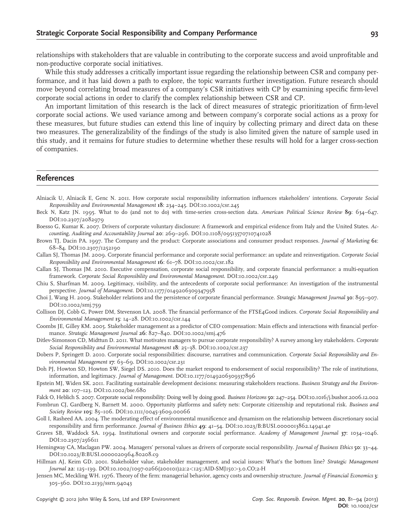relationships with stakeholders that are valuable in contributing to the corporate success and avoid unprofitable and non-productive corporate social initiatives.

While this study addresses a critically important issue regarding the relationship between CSR and company performance, and it has laid down a path to explore, the topic warrants further investigation. Future research should move beyond correlating broad measures of a company's CSR initiatives with CP by examining specific firm-level corporate social actions in order to clarify the complex relationship between CSR and CP.

An important limitation of this research is the lack of direct measures of strategic prioritization of firm-level corporate social actions. We used variance among and between company's corporate social actions as a proxy for these measures, but future studies can extend this line of inquiry by collecting primary and direct data on these two measures. The generalizability of the findings of the study is also limited given the nature of sample used in this study, and it remains for future studies to determine whether these results will hold for a larger cross-section of companies.

# References

- Alniacik U, Alniacik E, Genc N. 2011. How corporate social responsibility information influences stakeholders' intentions. Corporate Social Responsibility and Environmental Management 18: 234–245. DOI:10.1002/csr.245
- Beck N, Katz JN. 1995. What to do (and not to do) with time-series cross-section data. American Political Science Review 89: 634–647. DOI:10.2307/2082979
- Boesso G, Kumar K. 2007. Drivers of corporate voluntary disclosure: A framework and empirical evidence from Italy and the United States. Accounting, Auditing and Accountability Journal 20: 269–296. DOI:10.1108/09513570710741028
- Brown TJ, Dacin PA. 1997. The Company and the product: Corporate associations and consumer product responses. Journal of Marketing 61: 68–84. DOI:10.2307/1252190

Callan SJ, Thomas JM. 2009. Corporate financial performance and corporate social performance: an update and reinvestigation. Corporate Social Responsibility and Environmental Management 16: 61-78. DOI:10.1002/csr.182

- Callan SJ, Thomas JM. 2010. Executive compensation, corporate social responsibility, and corporate financial performance: a multi-equation framework. Corporate Social Responsibility and Environmental Management. DOI:10.1002/csr.249
- Chiu S, Sharfman M. 2009. Legitimacy, visibility, and the antecedents of corporate social performance: An investigation of the instrumental perspective. Journal of Management. DOI:10.1177/0149206309347958
- Choi J, Wang H. 2009. Stakeholder relations and the persistence of corporate financial performance. Strategic Management Journal 30: 895–907. DOI:10.1002/smj.759
- Collison DJ, Cobb G, Power DM, Stevenson LA. 2008. The financial performance of the FTSE4Good indices. Corporate Social Responsibility and Environmental Management 15: 14–28. DOI:10.1002/csr.144
- Coombs JE, Gilley KM. 2005. Stakeholder management as a predictor of CEO compensation: Main effects and interactions with financial performance. Strategic Management Journal 26: 827–840. DOI:10.1002/smj.476

Ditlev-Simonson CD, Midttun D. 2011. What motivates managers to pursue corporate responsibility? A survey among key stakeholders. Corporate Social Responsibility and Environmental Management 18: 25–38. DOI:10.1002/csr.237

- Dobers P, Springett D. 2010. Corporate social responsibilities: discourse, narratives and communication. Corporate Social Responsibility and Environmental Management 17: 63-69. DOI:10.1002/csr.231
- Doh PJ, Howton SD, Howton SW, Siegel DS. 2010. Does the market respond to endorsement of social responsibility? The role of institutions, information, and legitimacy. Journal of Management. DOI:10.1177/0149206309337896
- Epstein MJ, Widen SK. 2011. Facilitating sustainable development decisions: measuring stakeholders reactions. Business Strategy and the Environment 20: 107–123. DOI:10.1002/bse.680

Falck O, Heblich S. 2007. Corporate social responsibility: Doing well by doing good. Business Horizons 50: 247–254. DOI:10.1016/j.bushor.2006.12.002

- Fombrun CJ, Gardberg N, Barnett M. 2000. Opportunity platforms and safety nets: Corporate citizenship and reputational risk. Business and Society Review 105: 85–106. DOI:10.1111/0045-3609.00066
- Goll I, Rasheed AA. 2004. The moderating effect of environmental munificence and dynamism on the relationship between discretionary social responsibility and firm performance. Journal of Business Ethics 49: 41–54. DOI:10.1023/B:BUSI.0000013862.14941.4e
- Graves SB, Waddock SA. 1994. Institutional owners and corporate social performance. Academy of Management Journal 37: 1034–1046. DOI:10.2307/256611
- Hemingway CA, Maclagan PW. 2004. Managers' personal values as drivers of corporate social responsibility. Journal of Business Ethics 50: 33-44. DOI:10.1023/B:BUSI.0000020964.80208.c9
- Hillman AJ, Keim GD. 2001. Stakeholder value, stakeholder management, and social issues: What's the bottom line? Strategic Management Journal 22: 125–139. DOI:10.1002/1097-0266(200101)22:2<125::AID-SMJ150>3.0.CO;2-H
- Jensen MC, Meckling WH. 1976. Theory of the firm: managerial behavior, agency costs and ownership structure. Journal of Financial Economics 3: 305–360. DOI:10.2139/ssrn.94043